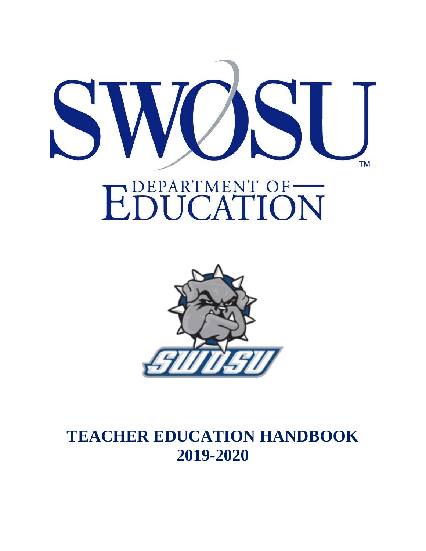



# **TEACHER EDUCATION HANDBOOK 2019-2020**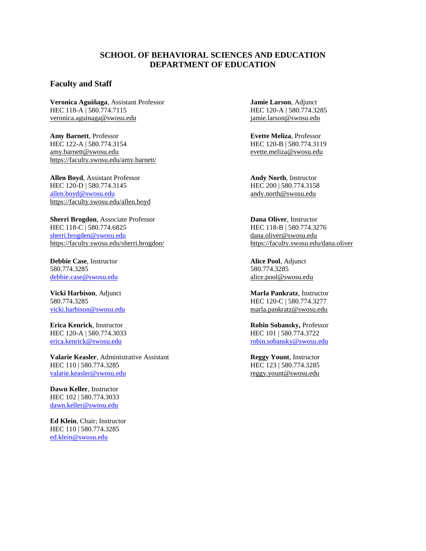#### **SCHOOL OF BEHAVIORAL SCIENCES AND EDUCATION DEPARTMENT OF EDUCATION**

#### **Faculty and Staff**

**Veronica Aguiñaga**, Assistant Professor **Jamie Larson**, Adjunct HEC 118-A | 580.774.7115 HEC 120-A | 580.774.3285 [veronica.aguinaga@swosu.edu](mailto:veronica.aguinaga@swosu.edu) [jamie.larson@swosu.edu](mailto:jamie.larson@swosu.edu) 

**Amy Barnett**, Professor **Evette Meliza**, Professor HEC 122-A | 580.774.3154 HEC 120-B | 580.774.3119 [amy.barnett@swosu.edu](mailto:amy.barnett@swosu.edu) [evette.meliza@swosu.edu](mailto:evette.meliza@swosu.edu)  <https://faculty.swosu.edu/amy.barnett/>

**Allen Boyd**, Assistant Professor **Andy North**, Instructor HEC 120-D | 580.774.3145 HEC 200 | 580.774.3158 [allen.boyd@swosu.edu](mailto:allen.boyd@swosu.edu) [andy.north@swosu.edu](mailto:andy.north@swosu.edu) https://faculty.swosu.edu/allen.boyd

**Sherri Brogdon**, Associate Professor **Dana Oliver**, Instructor HEC 118-C | 580.774.6825 HEC 118-B | 580.774.3276 [sherri.brogden@swosu.edu](mailto:sherri.brogden@swosu.edu) [dana.oliver@swosu.edu](mailto:dana.oliver@swosu.edu)  <https://faculty.swosu.edu/sherri.brogdon/> <https://faculty.swosu.edu/dana.oliver>

**Debbie Case**, Instructor **Alice Pool**, Adjunct 580.774.3285 580.774.3285 [debbie.case@swosu.edu](mailto:debbie.case@swosu.edu) [alice.pool@swosu.edu](mailto:alice.pool@swosu.edu)

erica.kenrick@swosu.edu

**Valarie Keasler**, Administrative Assistant **Reggy Yount**, Instructor HEC 110 | 580.774.3285 HEC 123 | 580.774.3285 [valarie.keasler@swosu.edu](mailto:valarie.keasler@swosu.edu) [reggy.yount@swosu.edu](mailto:reggy.yount@swosu.edu)

**Dawn Keller**, Instructor HEC 102 | 580.774.3033 [dawn.keller@swosu.edu](mailto:dawn.keller@swosu.edu)

**Ed Klein**, Chair; Instructor HEC 110 | 580.774.3285 [ed.klein@swosu.edu](mailto:ed.klein@swosu.edu)

**Vicki Harbison**, Adjunct **Marla Pankratz**, Instructor 580.774.3285 HEC 120-C | 580.774.3277 [vicki.harbison@swosu.edu](mailto:vicki.harbison@swosu.edu) marla.pankratz@swosu.edu

**Erica Kenrick**, Instructor **Robin Sobansky, Professor Robin Sobansky, Professor** HEC 120-A | 580.774.3033 HEC 101 | 580.774.3722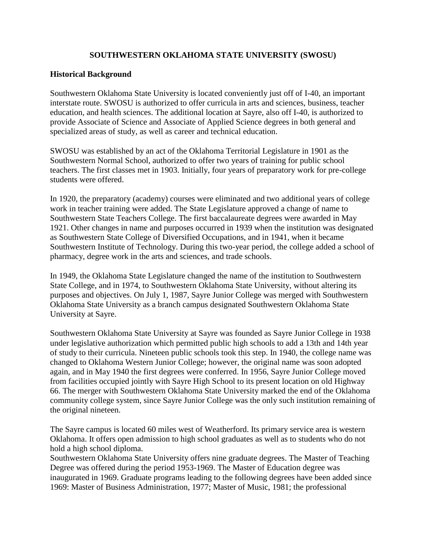# **SOUTHWESTERN OKLAHOMA STATE UNIVERSITY (SWOSU)**

#### **Historical Background**

Southwestern Oklahoma State University is located conveniently just off of I-40, an important interstate route. SWOSU is authorized to offer curricula in arts and sciences, business, teacher education, and health sciences. The additional location at Sayre, also off I-40, is authorized to provide Associate of Science and Associate of Applied Science degrees in both general and specialized areas of study, as well as career and technical education.

SWOSU was established by an act of the Oklahoma Territorial Legislature in 1901 as the Southwestern Normal School, authorized to offer two years of training for public school teachers. The first classes met in 1903. Initially, four years of preparatory work for pre-college students were offered.

In 1920, the preparatory (academy) courses were eliminated and two additional years of college work in teacher training were added. The State Legislature approved a change of name to Southwestern State Teachers College. The first baccalaureate degrees were awarded in May 1921. Other changes in name and purposes occurred in 1939 when the institution was designated as Southwestern State College of Diversified Occupations, and in 1941, when it became Southwestern Institute of Technology. During this two-year period, the college added a school of pharmacy, degree work in the arts and sciences, and trade schools.

In 1949, the Oklahoma State Legislature changed the name of the institution to Southwestern State College, and in 1974, to Southwestern Oklahoma State University, without altering its purposes and objectives. On July 1, 1987, Sayre Junior College was merged with Southwestern Oklahoma State University as a branch campus designated Southwestern Oklahoma State University at Sayre.

Southwestern Oklahoma State University at Sayre was founded as Sayre Junior College in 1938 under legislative authorization which permitted public high schools to add a 13th and 14th year of study to their curricula. Nineteen public schools took this step. In 1940, the college name was changed to Oklahoma Western Junior College; however, the original name was soon adopted again, and in May 1940 the first degrees were conferred. In 1956, Sayre Junior College moved from facilities occupied jointly with Sayre High School to its present location on old Highway 66. The merger with Southwestern Oklahoma State University marked the end of the Oklahoma community college system, since Sayre Junior College was the only such institution remaining of the original nineteen.

The Sayre campus is located 60 miles west of Weatherford. Its primary service area is western Oklahoma. It offers open admission to high school graduates as well as to students who do not hold a high school diploma.

Southwestern Oklahoma State University offers nine graduate degrees. The Master of Teaching Degree was offered during the period 1953-1969. The Master of Education degree was inaugurated in 1969. Graduate programs leading to the following degrees have been added since 1969: Master of Business Administration, 1977; Master of Music, 1981; the professional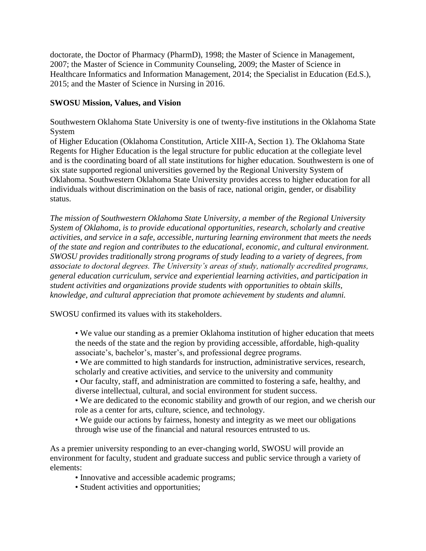doctorate, the Doctor of Pharmacy (PharmD), 1998; the Master of Science in Management, 2007; the Master of Science in Community Counseling, 2009; the Master of Science in Healthcare Informatics and Information Management, 2014; the Specialist in Education (Ed.S.), 2015; and the Master of Science in Nursing in 2016.

# **SWOSU Mission, Values, and Vision**

Southwestern Oklahoma State University is one of twenty-five institutions in the Oklahoma State System

of Higher Education (Oklahoma Constitution, Article XIII-A, Section 1). The Oklahoma State Regents for Higher Education is the legal structure for public education at the collegiate level and is the coordinating board of all state institutions for higher education. Southwestern is one of six state supported regional universities governed by the Regional University System of Oklahoma. Southwestern Oklahoma State University provides access to higher education for all individuals without discrimination on the basis of race, national origin, gender, or disability status.

*The mission of Southwestern Oklahoma State University, a member of the Regional University System of Oklahoma, is to provide educational opportunities, research, scholarly and creative activities, and service in a safe, accessible, nurturing learning environment that meets the needs of the state and region and contributes to the educational, economic, and cultural environment. SWOSU provides traditionally strong programs of study leading to a variety of degrees, from associate to doctoral degrees. The University's areas of study, nationally accredited programs, general education curriculum, service and experiential learning activities, and participation in student activities and organizations provide students with opportunities to obtain skills, knowledge, and cultural appreciation that promote achievement by students and alumni.* 

SWOSU confirmed its values with its stakeholders.

• We value our standing as a premier Oklahoma institution of higher education that meets the needs of the state and the region by providing accessible, affordable, high-quality associate's, bachelor's, master's, and professional degree programs.

• We are committed to high standards for instruction, administrative services, research, scholarly and creative activities, and service to the university and community

- Our faculty, staff, and administration are committed to fostering a safe, healthy, and diverse intellectual, cultural, and social environment for student success.
- We are dedicated to the economic stability and growth of our region, and we cherish our role as a center for arts, culture, science, and technology.

• We guide our actions by fairness, honesty and integrity as we meet our obligations through wise use of the financial and natural resources entrusted to us.

As a premier university responding to an ever-changing world, SWOSU will provide an environment for faculty, student and graduate success and public service through a variety of elements:

- Innovative and accessible academic programs;
- Student activities and opportunities;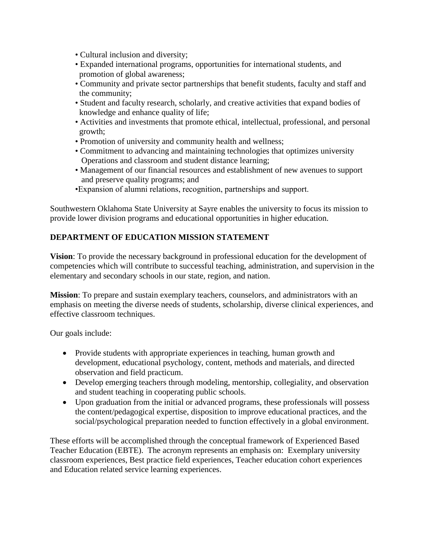- Cultural inclusion and diversity;
- Expanded international programs, opportunities for international students, and promotion of global awareness;
- Community and private sector partnerships that benefit students, faculty and staff and the community;
- Student and faculty research, scholarly, and creative activities that expand bodies of knowledge and enhance quality of life;
- Activities and investments that promote ethical, intellectual, professional, and personal growth;
- Promotion of university and community health and wellness;
- Commitment to advancing and maintaining technologies that optimizes university Operations and classroom and student distance learning;
- Management of our financial resources and establishment of new avenues to support and preserve quality programs; and
- •Expansion of alumni relations, recognition, partnerships and support.

Southwestern Oklahoma State University at Sayre enables the university to focus its mission to provide lower division programs and educational opportunities in higher education.

# **DEPARTMENT OF EDUCATION MISSION STATEMENT**

**Vision**: To provide the necessary background in professional education for the development of competencies which will contribute to successful teaching, administration, and supervision in the elementary and secondary schools in our state, region, and nation.

**Mission**: To prepare and sustain exemplary teachers, counselors, and administrators with an emphasis on meeting the diverse needs of students, scholarship, diverse clinical experiences, and effective classroom techniques.

Our goals include:

- Provide students with appropriate experiences in teaching, human growth and development, educational psychology, content, methods and materials, and directed observation and field practicum.
- Develop emerging teachers through modeling, mentorship, collegiality, and observation and student teaching in cooperating public schools.
- Upon graduation from the initial or advanced programs, these professionals will possess the content/pedagogical expertise, disposition to improve educational practices, and the social/psychological preparation needed to function effectively in a global environment.

These efforts will be accomplished through the conceptual framework of Experienced Based Teacher Education (EBTE). The acronym represents an emphasis on: Exemplary university classroom experiences, Best practice field experiences, Teacher education cohort experiences and Education related service learning experiences.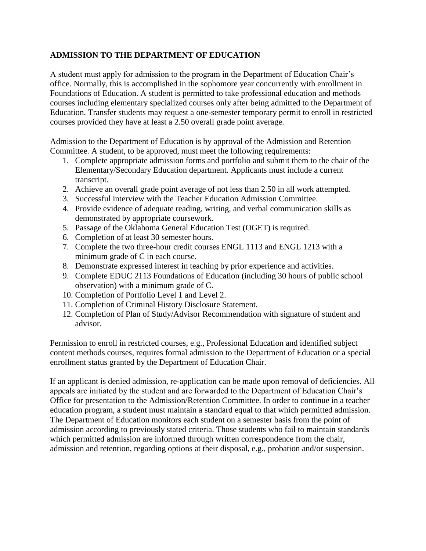# **ADMISSION TO THE DEPARTMENT OF EDUCATION**

A student must apply for admission to the program in the Department of Education Chair's office. Normally, this is accomplished in the sophomore year concurrently with enrollment in Foundations of Education. A student is permitted to take professional education and methods courses including elementary specialized courses only after being admitted to the Department of Education. Transfer students may request a one-semester temporary permit to enroll in restricted courses provided they have at least a 2.50 overall grade point average.

Admission to the Department of Education is by approval of the Admission and Retention Committee. A student, to be approved, must meet the following requirements:

- 1. Complete appropriate admission forms and portfolio and submit them to the chair of the Elementary/Secondary Education department. Applicants must include a current transcript.
- 2. Achieve an overall grade point average of not less than 2.50 in all work attempted.
- 3. Successful interview with the Teacher Education Admission Committee.
- 4. Provide evidence of adequate reading, writing, and verbal communication skills as demonstrated by appropriate coursework.
- 5. Passage of the Oklahoma General Education Test (OGET) is required.
- 6. Completion of at least 30 semester hours.
- 7. Complete the two three-hour credit courses ENGL 1113 and ENGL 1213 with a minimum grade of C in each course.
- 8. Demonstrate expressed interest in teaching by prior experience and activities.
- 9. Complete EDUC 2113 Foundations of Education (including 30 hours of public school observation) with a minimum grade of C.
- 10. Completion of Portfolio Level 1 and Level 2.
- 11. Completion of Criminal History Disclosure Statement.
- 12. Completion of Plan of Study/Advisor Recommendation with signature of student and advisor.

Permission to enroll in restricted courses, e.g., Professional Education and identified subject content methods courses, requires formal admission to the Department of Education or a special enrollment status granted by the Department of Education Chair.

If an applicant is denied admission, re-application can be made upon removal of deficiencies. All appeals are initiated by the student and are forwarded to the Department of Education Chair's Office for presentation to the Admission/Retention Committee. In order to continue in a teacher education program, a student must maintain a standard equal to that which permitted admission. The Department of Education monitors each student on a semester basis from the point of admission according to previously stated criteria. Those students who fail to maintain standards which permitted admission are informed through written correspondence from the chair, admission and retention, regarding options at their disposal, e.g., probation and/or suspension.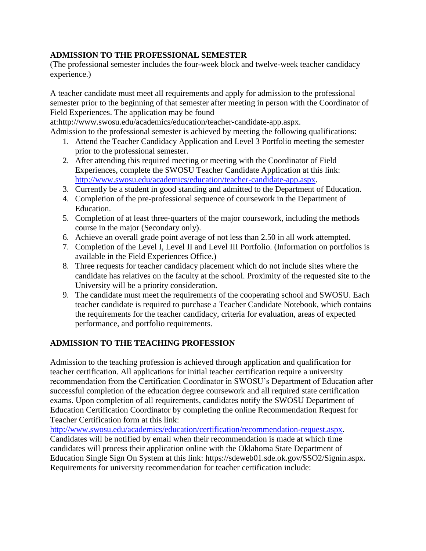# **ADMISSION TO THE PROFESSIONAL SEMESTER**

(The professional semester includes the four-week block and twelve-week teacher candidacy experience.)

A teacher candidate must meet all requirements and apply for admission to the professional semester prior to the beginning of that semester after meeting in person with the Coordinator of Field Experiences. The application may be found

at:http://www.swosu.edu/academics/education/teacher-candidate-app.aspx.

Admission to the professional semester is achieved by meeting the following qualifications:

- 1. Attend the Teacher Candidacy Application and Level 3 Portfolio meeting the semester prior to the professional semester.
- 2. After attending this required meeting or meeting with the Coordinator of Field Experiences, complete the SWOSU Teacher Candidate Application at this link: [http://www.swosu.edu/academics/education/teacher-candidate-app.aspx.](http://www.swosu.edu/academics/education/teacher-candidate-app.aspx)
- 3. Currently be a student in good standing and admitted to the Department of Education.
- 4. Completion of the pre-professional sequence of coursework in the Department of Education.
- 5. Completion of at least three-quarters of the major coursework, including the methods course in the major (Secondary only).
- 6. Achieve an overall grade point average of not less than 2.50 in all work attempted.
- 7. Completion of the Level I, Level II and Level III Portfolio. (Information on portfolios is available in the Field Experiences Office.)
- 8. Three requests for teacher candidacy placement which do not include sites where the candidate has relatives on the faculty at the school. Proximity of the requested site to the University will be a priority consideration.
- 9. The candidate must meet the requirements of the cooperating school and SWOSU. Each teacher candidate is required to purchase a Teacher Candidate Notebook, which contains the requirements for the teacher candidacy, criteria for evaluation, areas of expected performance, and portfolio requirements.

# **ADMISSION TO THE TEACHING PROFESSION**

Admission to the teaching profession is achieved through application and qualification for teacher certification. All applications for initial teacher certification require a university recommendation from the Certification Coordinator in SWOSU's Department of Education after successful completion of the education degree coursework and all required state certification exams. Upon completion of all requirements, candidates notify the SWOSU Department of Education Certification Coordinator by completing the online Recommendation Request for Teacher Certification form at this link:

[http://www.swosu.edu/academics/education/certification/recommendation-request.aspx.](http://www.swosu.edu/academics/education/certification/recommendation-request.aspx) Candidates will be notified by email when their recommendation is made at which time candidates will process their application online with the Oklahoma State Department of Education Single Sign On System at this link: https://sdeweb01.sde.ok.gov/SSO2/Signin.aspx. Requirements for university recommendation for teacher certification include: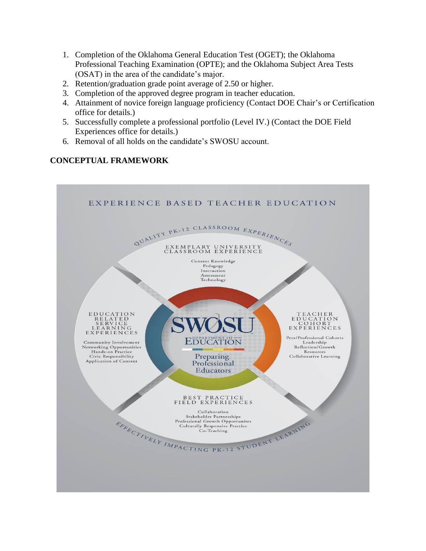- 1. Completion of the Oklahoma General Education Test (OGET); the Oklahoma Professional Teaching Examination (OPTE); and the Oklahoma Subject Area Tests (OSAT) in the area of the candidate's major.
- 2. Retention/graduation grade point average of 2.50 or higher.
- 3. Completion of the approved degree program in teacher education.
- 4. Attainment of novice foreign language proficiency (Contact DOE Chair's or Certification office for details.)
- 5. Successfully complete a professional portfolio (Level IV.) (Contact the DOE Field Experiences office for details.)
- 6. Removal of all holds on the candidate's SWOSU account.

# **CONCEPTUAL FRAMEWORK**

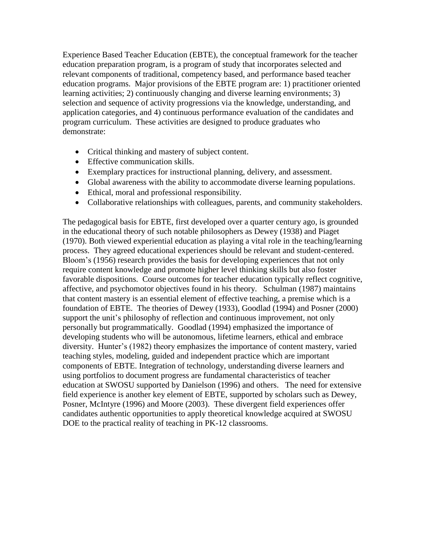Experience Based Teacher Education (EBTE), the conceptual framework for the teacher education preparation program, is a program of study that incorporates selected and relevant components of traditional, competency based, and performance based teacher education programs. Major provisions of the EBTE program are: 1) practitioner oriented learning activities; 2) continuously changing and diverse learning environments; 3) selection and sequence of activity progressions via the knowledge, understanding, and application categories, and 4) continuous performance evaluation of the candidates and program curriculum. These activities are designed to produce graduates who demonstrate:

- Critical thinking and mastery of subject content.
- Effective communication skills.
- Exemplary practices for instructional planning, delivery, and assessment.
- Global awareness with the ability to accommodate diverse learning populations.
- Ethical, moral and professional responsibility.
- Collaborative relationships with colleagues, parents, and community stakeholders.

The pedagogical basis for EBTE, first developed over a quarter century ago, is grounded in the educational theory of such notable philosophers as Dewey (1938) and Piaget (1970). Both viewed experiential education as playing a vital role in the teaching/learning process. They agreed educational experiences should be relevant and student-centered. Bloom's (1956) research provides the basis for developing experiences that not only require content knowledge and promote higher level thinking skills but also foster favorable dispositions. Course outcomes for teacher education typically reflect cognitive, affective, and psychomotor objectives found in his theory. Schulman (1987) maintains that content mastery is an essential element of effective teaching, a premise which is a foundation of EBTE. The theories of Dewey (1933), Goodlad (1994) and Posner (2000) support the unit's philosophy of reflection and continuous improvement, not only personally but programmatically. Goodlad (1994) emphasized the importance of developing students who will be autonomous, lifetime learners, ethical and embrace diversity. Hunter's (1982) theory emphasizes the importance of content mastery, varied teaching styles, modeling, guided and independent practice which are important components of EBTE. Integration of technology, understanding diverse learners and using portfolios to document progress are fundamental characteristics of teacher education at SWOSU supported by Danielson (1996) and others. The need for extensive field experience is another key element of EBTE, supported by scholars such as Dewey, Posner, McIntyre (1996) and Moore (2003). These divergent field experiences offer candidates authentic opportunities to apply theoretical knowledge acquired at SWOSU DOE to the practical reality of teaching in PK-12 classrooms.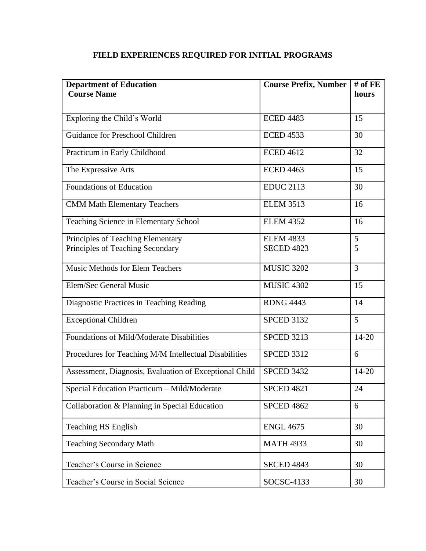# **FIELD EXPERIENCES REQUIRED FOR INITIAL PROGRAMS**

| <b>Department of Education</b>                         | <b>Course Prefix, Number</b> | $#$ of FE      |
|--------------------------------------------------------|------------------------------|----------------|
| <b>Course Name</b>                                     |                              | hours          |
|                                                        |                              |                |
| Exploring the Child's World                            | <b>ECED 4483</b>             | 15             |
| Guidance for Preschool Children                        | <b>ECED 4533</b>             | 30             |
| Practicum in Early Childhood                           | <b>ECED 4612</b>             | 32             |
| The Expressive Arts                                    | <b>ECED 4463</b>             | 15             |
| Foundations of Education                               | <b>EDUC 2113</b>             | 30             |
| <b>CMM Math Elementary Teachers</b>                    | <b>ELEM 3513</b>             | 16             |
| Teaching Science in Elementary School                  | <b>ELEM 4352</b>             | 16             |
| Principles of Teaching Elementary                      | <b>ELEM 4833</b>             | 5              |
| Principles of Teaching Secondary                       | <b>SECED 4823</b>            | 5              |
|                                                        |                              |                |
| <b>Music Methods for Elem Teachers</b>                 | <b>MUSIC 3202</b>            | $\overline{3}$ |
| Elem/Sec General Music                                 | <b>MUSIC 4302</b>            | 15             |
| Diagnostic Practices in Teaching Reading               | <b>RDNG 4443</b>             | 14             |
| <b>Exceptional Children</b>                            | <b>SPCED 3132</b>            | 5              |
| Foundations of Mild/Moderate Disabilities              | <b>SPCED 3213</b>            | $14 - 20$      |
| Procedures for Teaching M/M Intellectual Disabilities  | <b>SPCED 3312</b>            | 6              |
| Assessment, Diagnosis, Evaluation of Exceptional Child | <b>SPCED 3432</b>            | $14 - 20$      |
| Special Education Practicum - Mild/Moderate            | <b>SPCED 4821</b>            | 24             |
| Collaboration & Planning in Special Education          | <b>SPCED 4862</b>            | 6              |
| <b>Teaching HS English</b>                             | <b>ENGL 4675</b>             | 30             |
| <b>Teaching Secondary Math</b>                         | <b>MATH 4933</b>             | 30             |
| Teacher's Course in Science                            | <b>SECED 4843</b>            | 30             |
| Teacher's Course in Social Science                     | SOCSC-4133                   | 30             |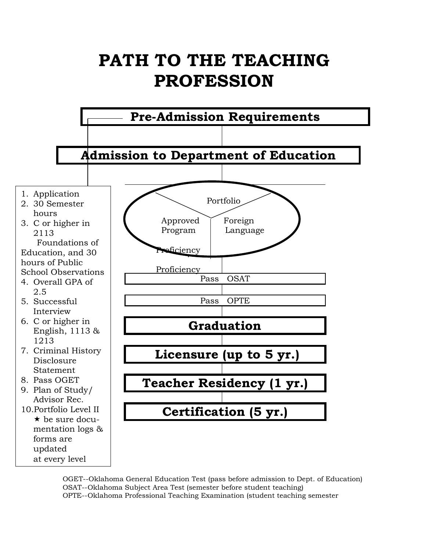# PATH TO THE TEACHING **PROFESSION**



OGET--Oklahoma General Education Test (pass before admission to Dept. of Education) OSAT--Oklahoma Subject Area Test (semester before student teaching) OPTE--Oklahoma Professional Teaching Examination (student teaching semester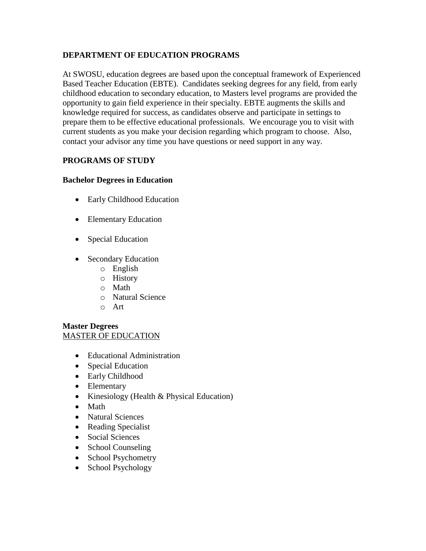# **DEPARTMENT OF EDUCATION PROGRAMS**

At SWOSU, education degrees are based upon the conceptual framework of Experienced Based Teacher Education (EBTE). Candidates seeking degrees for any field, from early childhood education to secondary education, to Masters level programs are provided the opportunity to gain field experience in their specialty. EBTE augments the skills and knowledge required for success, as candidates observe and participate in settings to prepare them to be effective educational professionals. We encourage you to visit with current students as you make your decision regarding which program to choose. Also, contact your advisor any time you have questions or need support in any way.

# **PROGRAMS OF STUDY**

### **Bachelor Degrees in Education**

- Early Childhood Education
- Elementary Education
- Special Education
- Secondary Education
	- o English
	- o History
	- o Math
	- o Natural Science
	- o Art

# **Master Degrees**  MASTER OF EDUCATION

- Educational Administration
- Special Education
- Early Childhood
- Elementary
- Kinesiology (Health  $&$  Physical Education)
- Math
- Natural Sciences
- Reading Specialist
- Social Sciences
- School Counseling
- School Psychometry
- School Psychology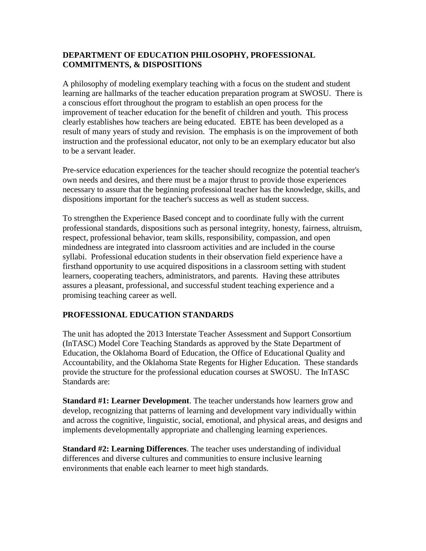# **DEPARTMENT OF EDUCATION PHILOSOPHY, PROFESSIONAL COMMITMENTS, & DISPOSITIONS**

A philosophy of modeling exemplary teaching with a focus on the student and student learning are hallmarks of the teacher education preparation program at SWOSU. There is a conscious effort throughout the program to establish an open process for the improvement of teacher education for the benefit of children and youth. This process clearly establishes how teachers are being educated. EBTE has been developed as a result of many years of study and revision. The emphasis is on the improvement of both instruction and the professional educator, not only to be an exemplary educator but also to be a servant leader.

Pre-service education experiences for the teacher should recognize the potential teacher's own needs and desires, and there must be a major thrust to provide those experiences necessary to assure that the beginning professional teacher has the knowledge, skills, and dispositions important for the teacher's success as well as student success.

To strengthen the Experience Based concept and to coordinate fully with the current professional standards, dispositions such as personal integrity, honesty, fairness, altruism, respect, professional behavior, team skills, responsibility, compassion, and open mindedness are integrated into classroom activities and are included in the course syllabi. Professional education students in their observation field experience have a firsthand opportunity to use acquired dispositions in a classroom setting with student learners, cooperating teachers, administrators, and parents. Having these attributes assures a pleasant, professional, and successful student teaching experience and a promising teaching career as well.

# **PROFESSIONAL EDUCATION STANDARDS**

The unit has adopted the 2013 Interstate Teacher Assessment and Support Consortium (InTASC) Model Core Teaching Standards as approved by the State Department of Education, the Oklahoma Board of Education, the Office of Educational Quality and Accountability, and the Oklahoma State Regents for Higher Education. These standards provide the structure for the professional education courses at SWOSU. The InTASC Standards are:

**Standard #1: Learner Development**. The teacher understands how learners grow and develop, recognizing that patterns of learning and development vary individually within and across the cognitive, linguistic, social, emotional, and physical areas, and designs and implements developmentally appropriate and challenging learning experiences.

**Standard #2: Learning Differences**. The teacher uses understanding of individual differences and diverse cultures and communities to ensure inclusive learning environments that enable each learner to meet high standards.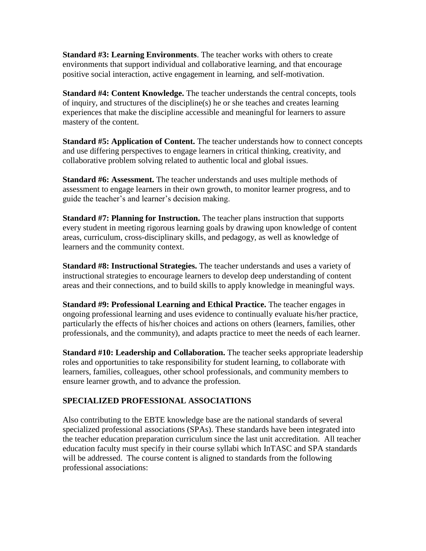**Standard #3: Learning Environments**. The teacher works with others to create environments that support individual and collaborative learning, and that encourage positive social interaction, active engagement in learning, and self-motivation.

**Standard #4: Content Knowledge.** The teacher understands the central concepts, tools of inquiry, and structures of the discipline(s) he or she teaches and creates learning experiences that make the discipline accessible and meaningful for learners to assure mastery of the content.

**Standard #5: Application of Content.** The teacher understands how to connect concepts and use differing perspectives to engage learners in critical thinking, creativity, and collaborative problem solving related to authentic local and global issues.

**Standard #6: Assessment.** The teacher understands and uses multiple methods of assessment to engage learners in their own growth, to monitor learner progress, and to guide the teacher's and learner's decision making.

**Standard #7: Planning for Instruction.** The teacher plans instruction that supports every student in meeting rigorous learning goals by drawing upon knowledge of content areas, curriculum, cross-disciplinary skills, and pedagogy, as well as knowledge of learners and the community context.

**Standard #8: Instructional Strategies.** The teacher understands and uses a variety of instructional strategies to encourage learners to develop deep understanding of content areas and their connections, and to build skills to apply knowledge in meaningful ways.

**Standard #9: Professional Learning and Ethical Practice.** The teacher engages in ongoing professional learning and uses evidence to continually evaluate his/her practice, particularly the effects of his/her choices and actions on others (learners, families, other professionals, and the community), and adapts practice to meet the needs of each learner.

**Standard #10: Leadership and Collaboration.** The teacher seeks appropriate leadership roles and opportunities to take responsibility for student learning, to collaborate with learners, families, colleagues, other school professionals, and community members to ensure learner growth, and to advance the profession.

# **SPECIALIZED PROFESSIONAL ASSOCIATIONS**

Also contributing to the EBTE knowledge base are the national standards of several specialized professional associations (SPAs). These standards have been integrated into the teacher education preparation curriculum since the last unit accreditation. All teacher education faculty must specify in their course syllabi which InTASC and SPA standards will be addressed. The course content is aligned to standards from the following professional associations: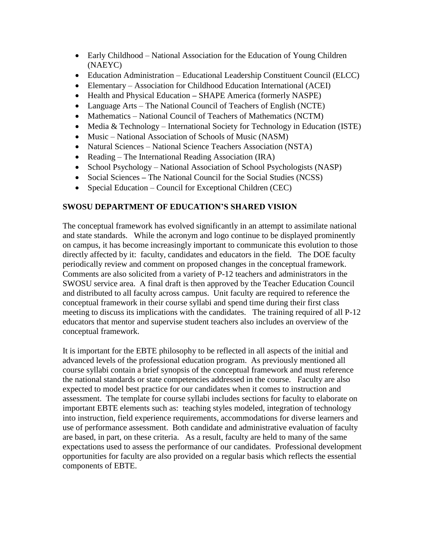- Early Childhood National Association for the Education of Young Children (NAEYC)
- Education Administration Educational Leadership Constituent Council (ELCC)
- Elementary Association for Childhood Education International (ACEI)
- Health and Physical Education **–** SHAPE America (formerly NASPE)
- Language Arts The National Council of Teachers of English (NCTE)
- Mathematics National Council of Teachers of Mathematics (NCTM)
- Media & Technology International Society for Technology in Education (ISTE)
- Music National Association of Schools of Music (NASM)
- Natural Sciences National Science Teachers Association (NSTA)
- Reading The International Reading Association (IRA)
- School Psychology National Association of School Psychologists (NASP)
- Social Sciences The National Council for the Social Studies (NCSS)
- Special Education Council for Exceptional Children (CEC)

# **SWOSU DEPARTMENT OF EDUCATION'S SHARED VISION**

The conceptual framework has evolved significantly in an attempt to assimilate national and state standards. While the acronym and logo continue to be displayed prominently on campus, it has become increasingly important to communicate this evolution to those directly affected by it: faculty, candidates and educators in the field. The DOE faculty periodically review and comment on proposed changes in the conceptual framework. Comments are also solicited from a variety of P-12 teachers and administrators in the SWOSU service area. A final draft is then approved by the Teacher Education Council and distributed to all faculty across campus. Unit faculty are required to reference the conceptual framework in their course syllabi and spend time during their first class meeting to discuss its implications with the candidates. The training required of all P-12 educators that mentor and supervise student teachers also includes an overview of the conceptual framework.

It is important for the EBTE philosophy to be reflected in all aspects of the initial and advanced levels of the professional education program. As previously mentioned all course syllabi contain a brief synopsis of the conceptual framework and must reference the national standards or state competencies addressed in the course. Faculty are also expected to model best practice for our candidates when it comes to instruction and assessment. The template for course syllabi includes sections for faculty to elaborate on important EBTE elements such as: teaching styles modeled, integration of technology into instruction, field experience requirements, accommodations for diverse learners and use of performance assessment. Both candidate and administrative evaluation of faculty are based, in part, on these criteria. As a result, faculty are held to many of the same expectations used to assess the performance of our candidates. Professional development opportunities for faculty are also provided on a regular basis which reflects the essential components of EBTE.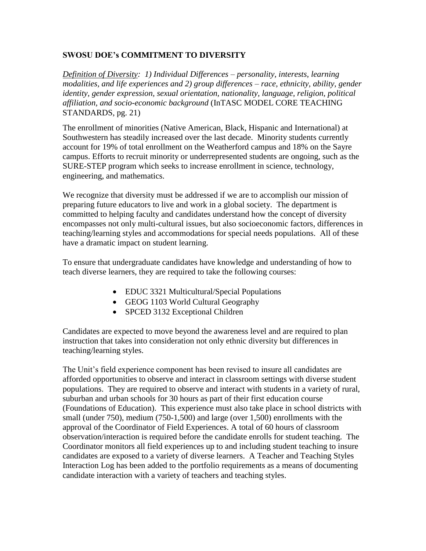# **SWOSU DOE's COMMITMENT TO DIVERSITY**

*Definition of Diversity: 1) Individual Differences – personality, interests, learning modalities, and life experiences and 2) group differences – race, ethnicity, ability, gender identity, gender expression, sexual orientation, nationality, language, religion, political affiliation, and socio-economic background* (InTASC MODEL CORE TEACHING STANDARDS, pg. 21)

The enrollment of minorities (Native American, Black, Hispanic and International) at Southwestern has steadily increased over the last decade. Minority students currently account for 19% of total enrollment on the Weatherford campus and 18% on the Sayre campus. Efforts to recruit minority or underrepresented students are ongoing, such as the SURE-STEP program which seeks to increase enrollment in science, technology, engineering, and mathematics.

We recognize that diversity must be addressed if we are to accomplish our mission of preparing future educators to live and work in a global society. The department is committed to helping faculty and candidates understand how the concept of diversity encompasses not only multi-cultural issues, but also socioeconomic factors, differences in teaching/learning styles and accommodations for special needs populations. All of these have a dramatic impact on student learning.

To ensure that undergraduate candidates have knowledge and understanding of how to teach diverse learners, they are required to take the following courses:

- EDUC 3321 Multicultural/Special Populations
- GEOG 1103 World Cultural Geography
- SPCED 3132 Exceptional Children

Candidates are expected to move beyond the awareness level and are required to plan instruction that takes into consideration not only ethnic diversity but differences in teaching/learning styles.

The Unit's field experience component has been revised to insure all candidates are afforded opportunities to observe and interact in classroom settings with diverse student populations. They are required to observe and interact with students in a variety of rural, suburban and urban schools for 30 hours as part of their first education course (Foundations of Education). This experience must also take place in school districts with small (under 750), medium (750-1,500) and large (over 1,500) enrollments with the approval of the Coordinator of Field Experiences. A total of 60 hours of classroom observation/interaction is required before the candidate enrolls for student teaching. The Coordinator monitors all field experiences up to and including student teaching to insure candidates are exposed to a variety of diverse learners. A Teacher and Teaching Styles Interaction Log has been added to the portfolio requirements as a means of documenting candidate interaction with a variety of teachers and teaching styles.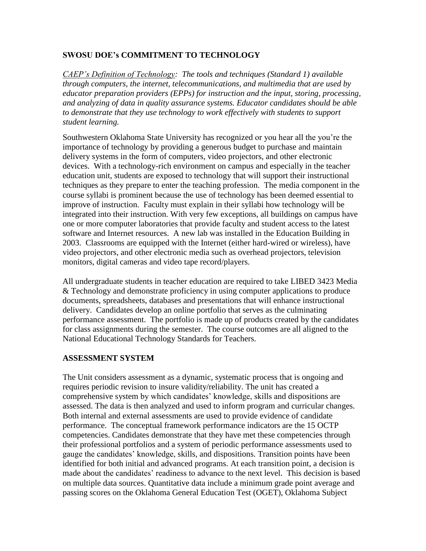# **SWOSU DOE's COMMITMENT TO TECHNOLOGY**

*CAEP's Definition of Technology: The tools and techniques (Standard 1) available through computers, the internet, telecommunications, and multimedia that are used by educator preparation providers (EPPs) for instruction and the input, storing, processing, and analyzing of data in quality assurance systems. Educator candidates should be able to demonstrate that they use technology to work effectively with students to support student learning.* 

Southwestern Oklahoma State University has recognized or you hear all the you're the importance of technology by providing a generous budget to purchase and maintain delivery systems in the form of computers, video projectors, and other electronic devices. With a technology-rich environment on campus and especially in the teacher education unit, students are exposed to technology that will support their instructional techniques as they prepare to enter the teaching profession. The media component in the course syllabi is prominent because the use of technology has been deemed essential to improve of instruction. Faculty must explain in their syllabi how technology will be integrated into their instruction. With very few exceptions, all buildings on campus have one or more computer laboratories that provide faculty and student access to the latest software and Internet resources. A new lab was installed in the Education Building in 2003. Classrooms are equipped with the Internet (either hard-wired or wireless), have video projectors, and other electronic media such as overhead projectors, television monitors, digital cameras and video tape record/players.

All undergraduate students in teacher education are required to take LIBED 3423 Media & Technology and demonstrate proficiency in using computer applications to produce documents, spreadsheets, databases and presentations that will enhance instructional delivery. Candidates develop an online portfolio that serves as the culminating performance assessment. The portfolio is made up of products created by the candidates for class assignments during the semester. The course outcomes are all aligned to the National Educational Technology Standards for Teachers.

#### **ASSESSMENT SYSTEM**

The Unit considers assessment as a dynamic, systematic process that is ongoing and requires periodic revision to insure validity/reliability. The unit has created a comprehensive system by which candidates' knowledge, skills and dispositions are assessed. The data is then analyzed and used to inform program and curricular changes. Both internal and external assessments are used to provide evidence of candidate performance. The conceptual framework performance indicators are the 15 OCTP competencies. Candidates demonstrate that they have met these competencies through their professional portfolios and a system of periodic performance assessments used to gauge the candidates' knowledge, skills, and dispositions. Transition points have been identified for both initial and advanced programs. At each transition point, a decision is made about the candidates' readiness to advance to the next level. This decision is based on multiple data sources. Quantitative data include a minimum grade point average and passing scores on the Oklahoma General Education Test (OGET), Oklahoma Subject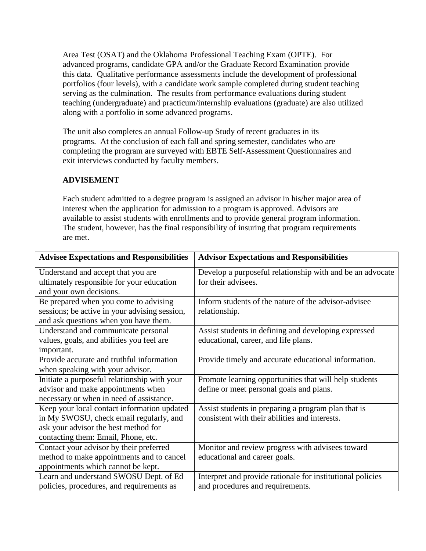Area Test (OSAT) and the Oklahoma Professional Teaching Exam (OPTE). For advanced programs, candidate GPA and/or the Graduate Record Examination provide this data. Qualitative performance assessments include the development of professional portfolios (four levels), with a candidate work sample completed during student teaching serving as the culmination. The results from performance evaluations during student teaching (undergraduate) and practicum/internship evaluations (graduate) are also utilized along with a portfolio in some advanced programs.

The unit also completes an annual Follow-up Study of recent graduates in its programs. At the conclusion of each fall and spring semester, candidates who are completing the program are surveyed with EBTE Self-Assessment Questionnaires and exit interviews conducted by faculty members.

# **ADVISEMENT**

Each student admitted to a degree program is assigned an advisor in his/her major area of interest when the application for admission to a program is approved. Advisors are available to assist students with enrollments and to provide general program information. The student, however, has the final responsibility of insuring that program requirements are met.

| <b>Advisee Expectations and Responsibilities</b> | <b>Advisor Expectations and Responsibilities</b>           |
|--------------------------------------------------|------------------------------------------------------------|
| Understand and accept that you are               | Develop a purposeful relationship with and be an advocate  |
| ultimately responsible for your education        | for their advisees.                                        |
| and your own decisions.                          |                                                            |
| Be prepared when you come to advising            | Inform students of the nature of the advisor-advisee       |
| sessions; be active in your advising session,    | relationship.                                              |
| and ask questions when you have them.            |                                                            |
| Understand and communicate personal              | Assist students in defining and developing expressed       |
| values, goals, and abilities you feel are        | educational, career, and life plans.                       |
| important.                                       |                                                            |
| Provide accurate and truthful information        | Provide timely and accurate educational information.       |
| when speaking with your advisor.                 |                                                            |
| Initiate a purposeful relationship with your     | Promote learning opportunities that will help students     |
| advisor and make appointments when               | define or meet personal goals and plans.                   |
| necessary or when in need of assistance.         |                                                            |
| Keep your local contact information updated      | Assist students in preparing a program plan that is        |
| in My SWOSU, check email regularly, and          | consistent with their abilities and interests.             |
| ask your advisor the best method for             |                                                            |
| contacting them: Email, Phone, etc.              |                                                            |
| Contact your advisor by their preferred          | Monitor and review progress with advisees toward           |
| method to make appointments and to cancel        | educational and career goals.                              |
| appointments which cannot be kept.               |                                                            |
| Learn and understand SWOSU Dept. of Ed           | Interpret and provide rationale for institutional policies |
| policies, procedures, and requirements as        | and procedures and requirements.                           |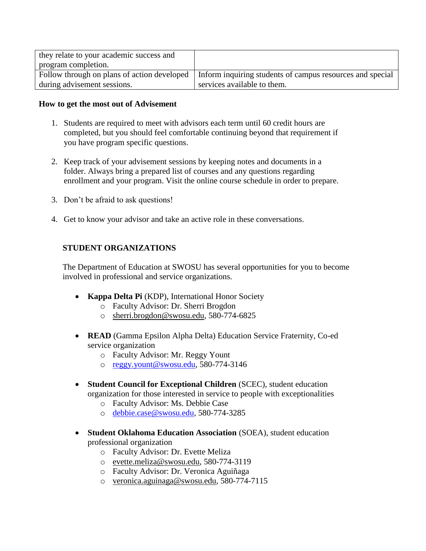| they relate to your academic success and    |                                                           |
|---------------------------------------------|-----------------------------------------------------------|
| program completion.                         |                                                           |
| Follow through on plans of action developed | Inform inquiring students of campus resources and special |
| during advisement sessions.                 | services available to them.                               |

#### **How to get the most out of Advisement**

- 1. Students are required to meet with advisors each term until 60 credit hours are completed, but you should feel comfortable continuing beyond that requirement if you have program specific questions.
- 2. Keep track of your advisement sessions by keeping notes and documents in a folder. Always bring a prepared list of courses and any questions regarding enrollment and your program. Visit the online course schedule in order to prepare.
- 3. Don't be afraid to ask questions!
- 4. Get to know your advisor and take an active role in these conversations.

# **STUDENT ORGANIZATIONS**

The Department of Education at SWOSU has several opportunities for you to become involved in professional and service organizations.

- **Kappa Delta Pi** (KDP), International Honor Society
	- o Faculty Advisor: Dr. Sherri Brogdon
	- o [sherri.brogdon@swosu.edu,](mailto:sherri.brogdon@swosu.edu) 580-774-6825
- **READ** (Gamma Epsilon Alpha Delta) Education Service Fraternity, Co-ed service organization
	- o Faculty Advisor: Mr. Reggy Yount
	- o [reggy.yount@swosu.edu,](mailto:reggy.yount@swosu.edu) 580-774-3146
- **Student Council for Exceptional Children** (SCEC), student education organization for those interested in service to people with exceptionalities
	- o Faculty Advisor: Ms. Debbie Case
	- o [debbie.case@swosu.edu,](mailto:debbie.case@swosu.edu) 580-774-3285
- **Student Oklahoma Education Association** (SOEA), student education professional organization
	- o Faculty Advisor: Dr. Evette Meliza
	- o [evette.meliza@swosu.edu,](mailto:evette.meliza@swosu.edu) 580-774-3119
	- o Faculty Advisor: Dr. Veronica Aguiñaga
	- o [veronica.aguinaga@swosu.edu,](mailto:veronica.aguinaga@swosu.edu) 580-774-7115